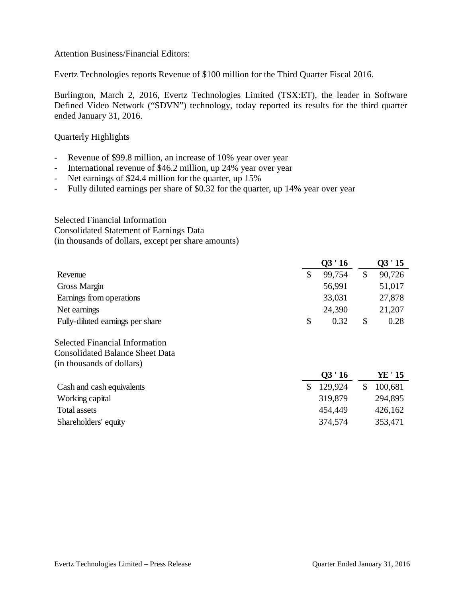#### Attention Business/Financial Editors:

Evertz Technologies reports Revenue of \$100 million for the Third Quarter Fiscal 2016.

Burlington, March 2, 2016, Evertz Technologies Limited (TSX:ET), the leader in Software Defined Video Network ("SDVN") technology, today reported its results for the third quarter ended January 31, 2016.

## Quarterly Highlights

- Revenue of \$99.8 million, an increase of 10% year over year
- International revenue of \$46.2 million, up 24% year over year
- Net earnings of \$24.4 million for the quarter, up 15%
- Fully diluted earnings per share of \$0.32 for the quarter, up 14% year over year

Selected Financial Information Consolidated Statement of Earnings Data (in thousands of dollars, except per share amounts)

|                                        | 03'16         |              | 03'15   |
|----------------------------------------|---------------|--------------|---------|
| Revenue                                | \$<br>99,754  | $\mathbb{S}$ | 90,726  |
| Gross Margin                           | 56,991        |              | 51,017  |
| Earnings from operations               | 33,031        |              | 27,878  |
| Net earnings                           | 24,390        |              | 21,207  |
| Fully-diluted earnings per share       | \$<br>0.32    | \$           | 0.28    |
| <b>Selected Financial Information</b>  |               |              |         |
| <b>Consolidated Balance Sheet Data</b> |               |              |         |
| (in thousands of dollars)              |               |              |         |
|                                        | 03'16         |              | YE ' 15 |
| Cash and cash equivalents              | \$<br>129,924 | \$           | 100,681 |
| Working capital                        | 319,879       |              | 294,895 |
| <b>Total assets</b>                    | 454,449       |              | 426,162 |
| Shareholders' equity                   | 374,574       |              | 353,471 |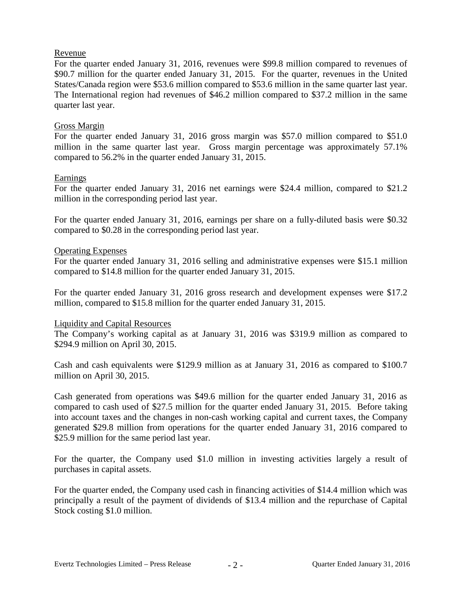## Revenue

For the quarter ended January 31, 2016, revenues were \$99.8 million compared to revenues of \$90.7 million for the quarter ended January 31, 2015. For the quarter, revenues in the United States/Canada region were \$53.6 million compared to \$53.6 million in the same quarter last year. The International region had revenues of \$46.2 million compared to \$37.2 million in the same quarter last year.

## Gross Margin

For the quarter ended January 31, 2016 gross margin was \$57.0 million compared to \$51.0 million in the same quarter last year. Gross margin percentage was approximately 57.1% compared to 56.2% in the quarter ended January 31, 2015.

## Earnings

For the quarter ended January 31, 2016 net earnings were \$24.4 million, compared to \$21.2 million in the corresponding period last year.

For the quarter ended January 31, 2016, earnings per share on a fully-diluted basis were \$0.32 compared to \$0.28 in the corresponding period last year.

## Operating Expenses

For the quarter ended January 31, 2016 selling and administrative expenses were \$15.1 million compared to \$14.8 million for the quarter ended January 31, 2015.

For the quarter ended January 31, 2016 gross research and development expenses were \$17.2 million, compared to \$15.8 million for the quarter ended January 31, 2015.

#### Liquidity and Capital Resources

The Company's working capital as at January 31, 2016 was \$319.9 million as compared to \$294.9 million on April 30, 2015.

Cash and cash equivalents were \$129.9 million as at January 31, 2016 as compared to \$100.7 million on April 30, 2015.

Cash generated from operations was \$49.6 million for the quarter ended January 31, 2016 as compared to cash used of \$27.5 million for the quarter ended January 31, 2015. Before taking into account taxes and the changes in non-cash working capital and current taxes, the Company generated \$29.8 million from operations for the quarter ended January 31, 2016 compared to \$25.9 million for the same period last year.

For the quarter, the Company used \$1.0 million in investing activities largely a result of purchases in capital assets.

For the quarter ended, the Company used cash in financing activities of \$14.4 million which was principally a result of the payment of dividends of \$13.4 million and the repurchase of Capital Stock costing \$1.0 million.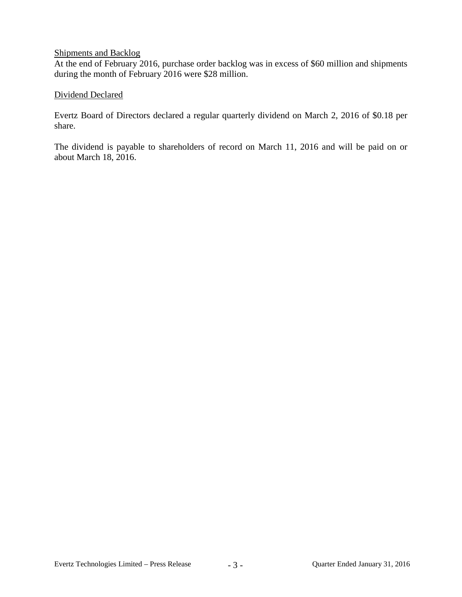## Shipments and Backlog

At the end of February 2016, purchase order backlog was in excess of \$60 million and shipments during the month of February 2016 were \$28 million.

## Dividend Declared

Evertz Board of Directors declared a regular quarterly dividend on March 2, 2016 of \$0.18 per share.

The dividend is payable to shareholders of record on March 11, 2016 and will be paid on or about March 18, 2016.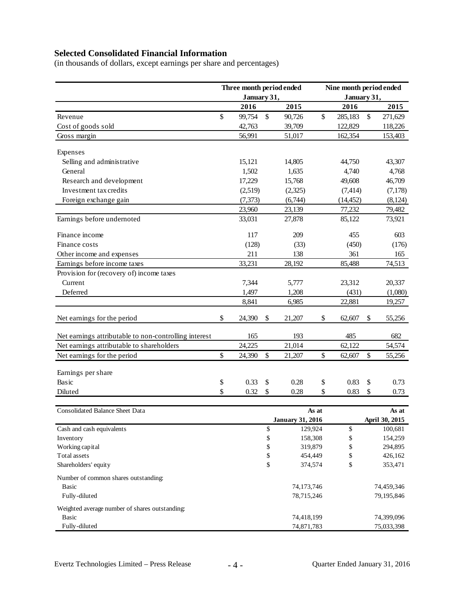# **Selected Consolidated Financial Information**

(in thousands of dollars, except earnings per share and percentages)

|                                                       | Three month period ended<br>January 31, |                         |               |            | Nine month period ended<br>January 31, |           |         |            |  |
|-------------------------------------------------------|-----------------------------------------|-------------------------|---------------|------------|----------------------------------------|-----------|---------|------------|--|
|                                                       |                                         | 2016                    |               | 2015       |                                        | 2016      |         | 2015       |  |
| Revenue                                               | \$                                      | 99,754                  | $\mathcal{S}$ | 90,726     | \$                                     | 285,183   | \$      | 271,629    |  |
| Cost of goods sold                                    |                                         | 42,763                  |               | 39,709     |                                        | 122,829   |         | 118,226    |  |
| Gross margin                                          |                                         | 56,991                  |               | 51,017     |                                        | 162,354   |         | 153,403    |  |
|                                                       |                                         |                         |               |            |                                        |           |         |            |  |
| Expenses                                              |                                         |                         |               |            |                                        |           |         |            |  |
| Selling and administrative                            |                                         | 15,121                  |               | 14,805     |                                        | 44,750    |         | 43,307     |  |
| General                                               |                                         | 1,502                   |               | 1,635      |                                        | 4,740     |         | 4,768      |  |
| Research and development                              |                                         | 17,229                  |               | 15,768     |                                        | 49,608    |         | 46,709     |  |
| Investment tax credits                                |                                         | (2,519)                 |               | (2,325)    |                                        | (7, 414)  |         | (7,178)    |  |
| Foreign exchange gain                                 |                                         | (7, 373)                |               | (6,744)    |                                        | (14, 452) |         | (8, 124)   |  |
|                                                       |                                         | 23,960                  |               | 23,139     |                                        | 77,232    |         | 79,482     |  |
| Earnings before undernoted                            |                                         | 33,031                  |               | 27,878     |                                        | 85,122    |         | 73,921     |  |
| Finance income                                        |                                         | 117                     |               | 209        |                                        | 455       |         | 603        |  |
| Finance costs                                         |                                         | (128)                   |               | (33)       |                                        | (450)     |         | (176)      |  |
| Other income and expenses                             |                                         | 211                     |               | 138        |                                        | 361       |         | 165        |  |
| Earnings before income taxes                          |                                         | 33,231                  |               | 28,192     |                                        | 85,488    |         | 74,513     |  |
| Provision for (recovery of) income taxes              |                                         |                         |               |            |                                        |           |         |            |  |
| Current                                               |                                         | 7,344                   |               | 5,777      |                                        | 23,312    |         | 20,337     |  |
| Deferred                                              |                                         | 1,497                   |               | 1,208      |                                        | (431)     |         | (1,080)    |  |
|                                                       |                                         | 8,841                   |               | 6,985      |                                        | 22,881    |         | 19,257     |  |
| Net earnings for the period                           | \$                                      | 24,390                  | \$            | 21,207     | \$                                     | 62,607    | \$      | 55,256     |  |
| Net earnings attributable to non-controlling interest |                                         | 165                     |               | 193        |                                        | 485       |         | 682        |  |
| Net earnings attributable to shareholders             |                                         | 24,225                  |               | 21,014     |                                        | 62,122    |         | 54,574     |  |
| Net earnings for the period                           | \$                                      | 24,390                  | \$            | 21,207     | \$                                     | 62,607    | \$      | 55,256     |  |
| Earnings per share                                    |                                         |                         |               |            |                                        |           |         |            |  |
| Basic                                                 | \$                                      | 0.33                    | \$            | 0.28       | \$                                     | 0.83      | \$      | 0.73       |  |
| Diluted                                               | \$                                      | 0.32                    | \$            | 0.28       | \$                                     | 0.83      | \$      | 0.73       |  |
|                                                       |                                         |                         |               |            |                                        |           |         |            |  |
| <b>Consolidated Balance Sheet Data</b>                |                                         |                         |               |            | As at                                  |           |         | As at      |  |
|                                                       |                                         | <b>January 31, 2016</b> |               |            | April 30, 2015                         |           |         |            |  |
| Cash and cash equivalents                             |                                         |                         | \$            | 129,924    |                                        | \$        |         | 100,681    |  |
| Inventory                                             |                                         |                         | \$            | 158,308    |                                        | \$        |         | 154,259    |  |
| Working capital                                       |                                         |                         | \$            |            | \$<br>319,879                          |           | 294,895 |            |  |
| Total assets                                          |                                         |                         | \$            | 454,449    | \$                                     |           |         | 426,162    |  |
| Shareholders' equity                                  |                                         |                         | \$            | 374,574    |                                        | \$        |         | 353,471    |  |
| Number of common shares outstanding:                  |                                         |                         |               |            |                                        |           |         |            |  |
| <b>Basic</b>                                          |                                         |                         |               | 74,173,746 |                                        |           |         | 74,459,346 |  |
| Fully-diluted                                         |                                         |                         |               | 78,715,246 |                                        |           |         | 79,195,846 |  |
| Weighted average number of shares outstanding:        |                                         |                         |               |            |                                        |           |         |            |  |
| Basic                                                 |                                         |                         |               | 74,418,199 |                                        |           |         | 74,399,096 |  |
| Fully-diluted                                         |                                         |                         |               | 74,871,783 |                                        |           |         | 75,033,398 |  |